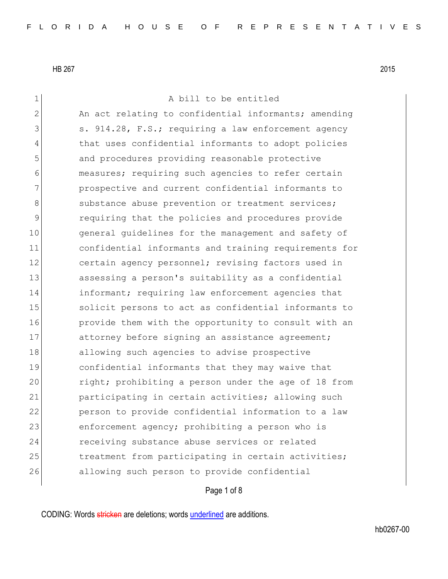1 a bill to be entitled 2 An act relating to confidential informants; amending  $3$  s. 914.28, F.S.; requiring a law enforcement agency 4 that uses confidential informants to adopt policies 5 and procedures providing reasonable protective 6 measures; requiring such agencies to refer certain 7 prospective and current confidential informants to 8 substance abuse prevention or treatment services; 9 requiring that the policies and procedures provide 10 general guidelines for the management and safety of 11 confidential informants and training requirements for 12 certain agency personnel; revising factors used in 13 assessing a person's suitability as a confidential 14 **informant;** requiring law enforcement agencies that 15 15 solicit persons to act as confidential informants to 16 **provide them with the opportunity to consult with an** 17 attorney before signing an assistance agreement; 18 allowing such agencies to advise prospective 19 confidential informants that they may waive that 20 right; prohibiting a person under the age of 18 from 21 participating in certain activities; allowing such 22 person to provide confidential information to a law 23 enforcement agency; prohibiting a person who is 24 receiving substance abuse services or related 25 10 11 treatment from participating in certain activities; 26 allowing such person to provide confidential

# Page 1 of 8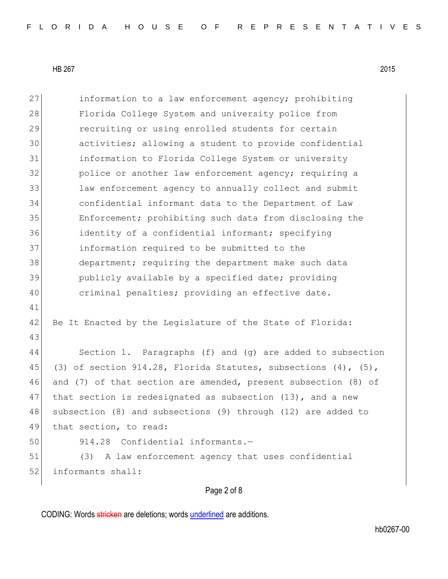| 27 | information to a law enforcement agency; prohibiting              |
|----|-------------------------------------------------------------------|
| 28 | Florida College System and university police from                 |
| 29 | recruiting or using enrolled students for certain                 |
| 30 | activities; allowing a student to provide confidential            |
| 31 | information to Florida College System or university               |
| 32 | police or another law enforcement agency; requiring a             |
| 33 | law enforcement agency to annually collect and submit             |
| 34 | confidential informant data to the Department of Law              |
| 35 | Enforcement; prohibiting such data from disclosing the            |
| 36 | identity of a confidential informant; specifying                  |
| 37 | information required to be submitted to the                       |
| 38 | department; requiring the department make such data               |
| 39 | publicly available by a specified date; providing                 |
| 40 | criminal penalties; providing an effective date.                  |
| 41 |                                                                   |
| 42 | Be It Enacted by the Legislature of the State of Florida:         |
| 43 |                                                                   |
| 44 | Section 1. Paragraphs (f) and (g) are added to subsection         |
| 45 | (3) of section $914.28$ , Florida Statutes, subsections (4), (5), |
| 46 | and (7) of that section are amended, present subsection (8) of    |
| 47 | that section is redesignated as subsection (13), and a new        |
| 48 | subsection (8) and subsections (9) through (12) are added to      |
| 49 | that section, to read:                                            |
| 50 | 914.28 Confidential informants.-                                  |
| 51 | (3) A law enforcement agency that uses confidential               |
| 52 | informants shall:                                                 |
|    |                                                                   |

# Page 2 of 8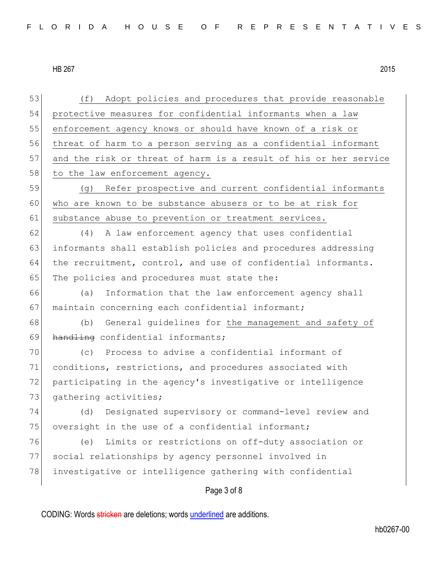| 53 | (f) Adopt policies and procedures that provide reasonable        |
|----|------------------------------------------------------------------|
| 54 | protective measures for confidential informants when a law       |
| 55 | enforcement agency knows or should have known of a risk or       |
| 56 | threat of harm to a person serving as a confidential informant   |
| 57 | and the risk or threat of harm is a result of his or her service |
| 58 | to the law enforcement agency.                                   |
| 59 | (g) Refer prospective and current confidential informants        |
| 60 | who are known to be substance abusers or to be at risk for       |
| 61 | substance abuse to prevention or treatment services.             |
| 62 | A law enforcement agency that uses confidential<br>(4)           |
| 63 | informants shall establish policies and procedures addressing    |
| 64 | the recruitment, control, and use of confidential informants.    |
| 65 | The policies and procedures must state the:                      |
| 66 | Information that the law enforcement agency shall<br>(a)         |
| 67 | maintain concerning each confidential informant;                 |
| 68 | (b) General guidelines for the management and safety of          |
| 69 | handling confidential informants;                                |
| 70 | (c) Process to advise a confidential informant of                |
| 71 | conditions, restrictions, and procedures associated with         |
| 72 | participating in the agency's investigative or intelligence      |
| 73 | gathering activities;                                            |
| 74 | Designated supervisory or command-level review and<br>(d)        |
| 75 | oversight in the use of a confidential informant;                |
| 76 | Limits or restrictions on off-duty association or<br>(e)         |
| 77 | social relationships by agency personnel involved in             |
| 78 | investigative or intelligence gathering with confidential        |
|    | Page 3 of 8                                                      |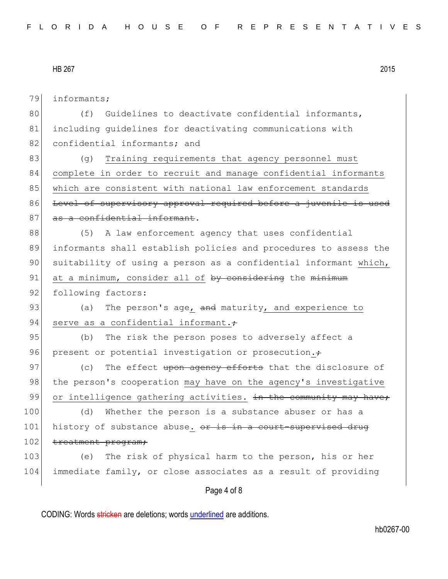79 informants;

80 (f) Guidelines to deactivate confidential informants, 81 including quidelines for deactivating communications with 82 confidential informants; and

83 (g) Training requirements that agency personnel must 84 complete in order to recruit and manage confidential informants 85 which are consistent with national law enforcement standards 86 Level of supervisory approval required before a juvenile is used 87 as a confidential informant.

88 (5) A law enforcement agency that uses confidential 89 informants shall establish policies and procedures to assess the 90 suitability of using a person as a confidential informant which, 91 at a minimum, consider all of by considering the minimum 92 following factors:

93 (a) The person's age,  $\frac{1}{2}$  maturity, and experience to 94 serve as a confidential informant. $\div$ 

95 (b) The risk the person poses to adversely affect a 96 present or potential investigation or prosecution.

97 (c) The effect upon agency efforts that the disclosure of 98 | the person's cooperation may have on the agency's investigative 99 or intelligence gathering activities.  $\pm n$  the community may have;

100 (d) Whether the person is a substance abuser or has a 101 history of substance abuse.  $\sigma$  is in a court-supervised drug 102 treatment program;

103 (e) The risk of physical harm to the person, his or her 104 immediate family, or close associates as a result of providing

#### Page 4 of 8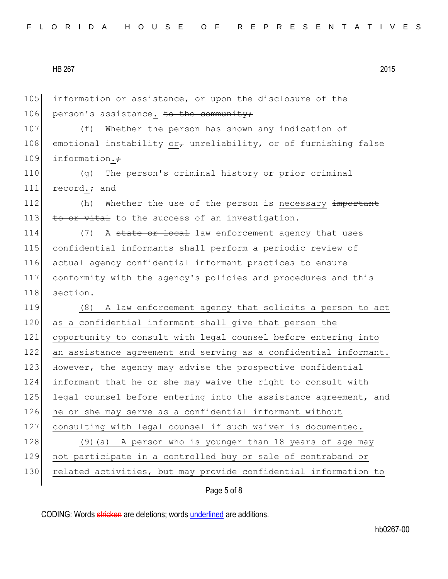105 information or assistance, or upon the disclosure of the 106 person's assistance. to the community; 107 (f) Whether the person has shown any indication of 108 emotional instability or, unreliability, or of furnishing false 109 information. $\div$ 110 (g) The person's criminal history or prior criminal 111  $record.+$  and 112 (h) Whether the use of the person is necessary important 113  $\overline{t}$  to  $\overline{t}$  to the success of an investigation. 114 (7) A state or local law enforcement agency that uses 115 confidential informants shall perform a periodic review of 116 actual agency confidential informant practices to ensure 117 conformity with the agency's policies and procedures and this 118 section. 119 (8) A law enforcement agency that solicits a person to act 120 as a confidential informant shall give that person the 121 opportunity to consult with legal counsel before entering into 122 an assistance agreement and serving as a confidential informant. 123 However, the agency may advise the prospective confidential 124 informant that he or she may waive the right to consult with 125 legal counsel before entering into the assistance agreement, and 126 he or she may serve as a confidential informant without 127 consulting with legal counsel if such waiver is documented. 128 (9) (a) A person who is younger than 18 years of age may 129 not participate in a controlled buy or sale of contraband or 130 related activities, but may provide confidential information to

Page 5 of 8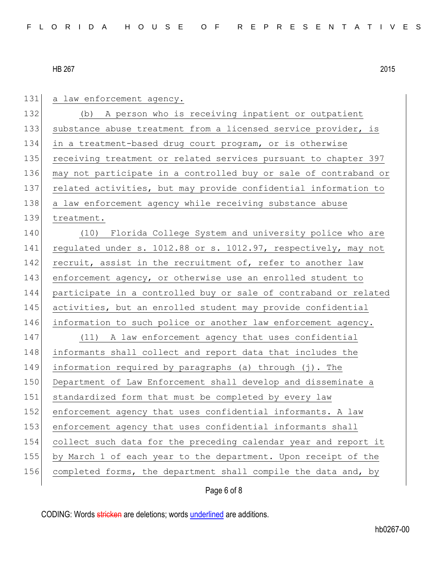| 131 | a law enforcement agency.                                        |
|-----|------------------------------------------------------------------|
| 132 | (b) A person who is receiving inpatient or outpatient            |
| 133 | substance abuse treatment from a licensed service provider, is   |
| 134 | in a treatment-based drug court program, or is otherwise         |
| 135 | receiving treatment or related services pursuant to chapter 397  |
| 136 | may not participate in a controlled buy or sale of contraband or |
| 137 | related activities, but may provide confidential information to  |
| 138 | a law enforcement agency while receiving substance abuse         |
| 139 | treatment.                                                       |
| 140 | (10) Florida College System and university police who are        |
| 141 | regulated under s. 1012.88 or s. 1012.97, respectively, may not  |
| 142 | recruit, assist in the recruitment of, refer to another law      |
| 143 | enforcement agency, or otherwise use an enrolled student to      |
| 144 | participate in a controlled buy or sale of contraband or related |
| 145 | activities, but an enrolled student may provide confidential     |
| 146 | information to such police or another law enforcement agency.    |
| 147 | (11) A law enforcement agency that uses confidential             |
| 148 | informants shall collect and report data that includes the       |
| 149 | information required by paragraphs (a) through (j). The          |
| 150 | Department of Law Enforcement shall develop and disseminate a    |
| 151 | standardized form that must be completed by every law            |
| 152 | enforcement agency that uses confidential informants. A law      |
| 153 | enforcement agency that uses confidential informants shall       |
| 154 | collect such data for the preceding calendar year and report it  |
| 155 | by March 1 of each year to the department. Upon receipt of the   |
| 156 | completed forms, the department shall compile the data and, by   |
|     |                                                                  |

Page 6 of 8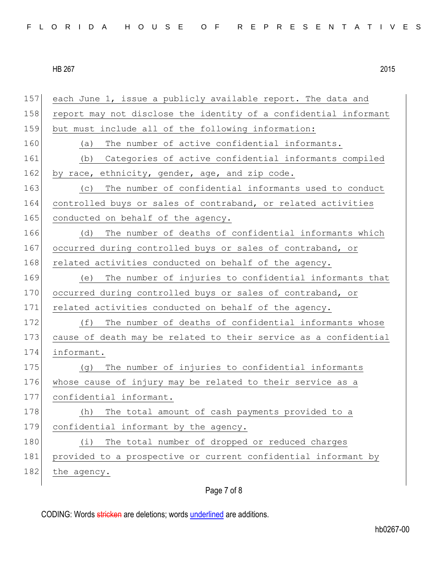| 157 | each June 1, issue a publicly available report. The data and     |
|-----|------------------------------------------------------------------|
| 158 | report may not disclose the identity of a confidential informant |
| 159 | but must include all of the following information:               |
| 160 | The number of active confidential informants.<br>(a)             |
| 161 | Categories of active confidential informants compiled<br>(b)     |
| 162 | by race, ethnicity, gender, age, and zip code.                   |
| 163 | The number of confidential informants used to conduct<br>(C)     |
| 164 | controlled buys or sales of contraband, or related activities    |
| 165 | conducted on behalf of the agency.                               |
| 166 | The number of deaths of confidential informants which<br>(d)     |
| 167 | occurred during controlled buys or sales of contraband, or       |
| 168 | related activities conducted on behalf of the agency.            |
| 169 | The number of injuries to confidential informants that<br>(e)    |
| 170 | occurred during controlled buys or sales of contraband, or       |
| 171 | related activities conducted on behalf of the agency.            |
| 172 | The number of deaths of confidential informants whose<br>(f)     |
| 173 | cause of death may be related to their service as a confidential |
| 174 | informant.                                                       |
| 175 | The number of injuries to confidential informants<br>(q)         |
| 176 | whose cause of injury may be related to their service as a       |
| 177 | confidential informant.                                          |
| 178 | The total amount of cash payments provided to a<br>(h)           |
| 179 | confidential informant by the agency.                            |
| 180 | The total number of dropped or reduced charges<br>(i)            |
| 181 | provided to a prospective or current confidential informant by   |
| 182 | the agency.                                                      |
|     |                                                                  |

# Page 7 of 8